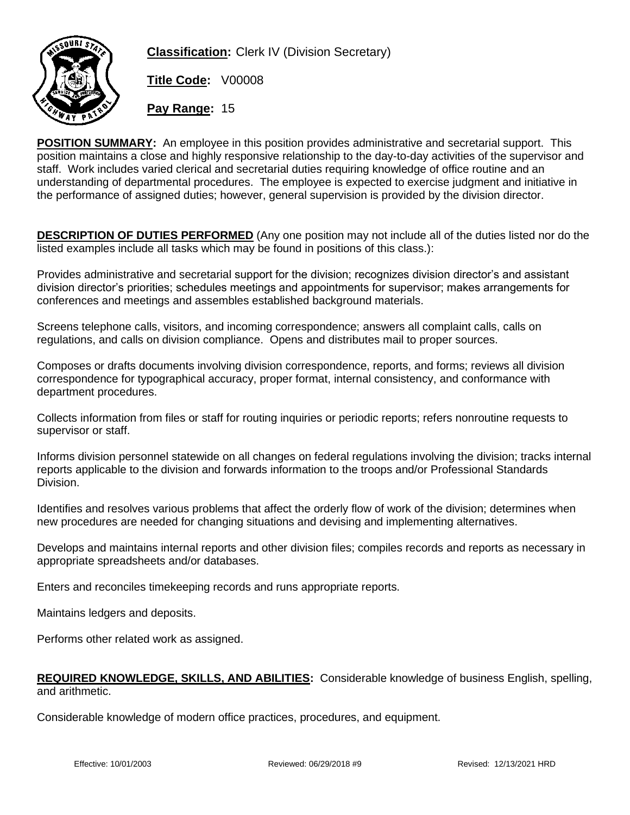

**Classification:** Clerk IV (Division Secretary)

**Title Code:** V00008

**Pay Range:** 15

**POSITION SUMMARY:** An employee in this position provides administrative and secretarial support. This position maintains a close and highly responsive relationship to the day-to-day activities of the supervisor and staff. Work includes varied clerical and secretarial duties requiring knowledge of office routine and an understanding of departmental procedures. The employee is expected to exercise judgment and initiative in the performance of assigned duties; however, general supervision is provided by the division director.

**DESCRIPTION OF DUTIES PERFORMED** (Any one position may not include all of the duties listed nor do the listed examples include all tasks which may be found in positions of this class.):

Provides administrative and secretarial support for the division; recognizes division director's and assistant division director's priorities; schedules meetings and appointments for supervisor; makes arrangements for conferences and meetings and assembles established background materials.

Screens telephone calls, visitors, and incoming correspondence; answers all complaint calls, calls on regulations, and calls on division compliance. Opens and distributes mail to proper sources.

Composes or drafts documents involving division correspondence, reports, and forms; reviews all division correspondence for typographical accuracy, proper format, internal consistency, and conformance with department procedures.

Collects information from files or staff for routing inquiries or periodic reports; refers nonroutine requests to supervisor or staff.

Informs division personnel statewide on all changes on federal regulations involving the division; tracks internal reports applicable to the division and forwards information to the troops and/or Professional Standards Division.

Identifies and resolves various problems that affect the orderly flow of work of the division; determines when new procedures are needed for changing situations and devising and implementing alternatives.

Develops and maintains internal reports and other division files; compiles records and reports as necessary in appropriate spreadsheets and/or databases.

Enters and reconciles timekeeping records and runs appropriate reports.

Maintains ledgers and deposits.

Performs other related work as assigned.

## **REQUIRED KNOWLEDGE, SKILLS, AND ABILITIES:** Considerable knowledge of business English, spelling, and arithmetic.

Considerable knowledge of modern office practices, procedures, and equipment.